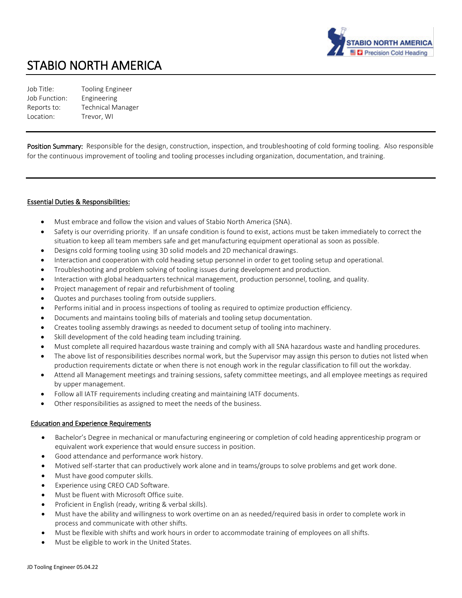

# STABIO NORTH AMERICA

Job Title: Tooling Engineer Job Function: Engineering Reports to: Technical Manager Location: Trevor, WI

**Position Summary:** Responsible for the design, construction, inspection, and troubleshooting of cold forming tooling. Also responsible for the continuous improvement of tooling and tooling processes including organization, documentation, and training.

#### Essential Duties & Responsibilities:

- Must embrace and follow the vision and values of Stabio North America (SNA).
- Safety is our overriding priority. If an unsafe condition is found to exist, actions must be taken immediately to correct the situation to keep all team members safe and get manufacturing equipment operational as soon as possible.
- Designs cold forming tooling using 3D solid models and 2D mechanical drawings.
- Interaction and cooperation with cold heading setup personnel in order to get tooling setup and operational.
- Troubleshooting and problem solving of tooling issues during development and production.
- Interaction with global headquarters technical management, production personnel, tooling, and quality.
- Project management of repair and refurbishment of tooling
- Quotes and purchases tooling from outside suppliers.
- Performs initial and in process inspections of tooling as required to optimize production efficiency.
- Documents and maintains tooling bills of materials and tooling setup documentation.
- Creates tooling assembly drawings as needed to document setup of tooling into machinery.
- Skill development of the cold heading team including training.
- Must complete all required hazardous waste training and comply with all SNA hazardous waste and handling procedures.
- The above list of responsibilities describes normal work, but the Supervisor may assign this person to duties not listed when production requirements dictate or when there is not enough work in the regular classification to fill out the workday.
- Attend all Management meetings and training sessions, safety committee meetings, and all employee meetings as required by upper management.
- Follow all IATF requirements including creating and maintaining IATF documents.
- Other responsibilities as assigned to meet the needs of the business.

#### Education and Experience Requirements

- Bachelor's Degree in mechanical or manufacturing engineering or completion of cold heading apprenticeship program or equivalent work experience that would ensure success in position.
- Good attendance and performance work history.
- Motived self-starter that can productively work alone and in teams/groups to solve problems and get work done.
- Must have good computer skills.
- Experience using CREO CAD Software.
- Must be fluent with Microsoft Office suite.
- Proficient in English (ready, writing & verbal skills).
- Must have the ability and willingness to work overtime on an as needed/required basis in order to complete work in process and communicate with other shifts.
- Must be flexible with shifts and work hours in order to accommodate training of employees on all shifts.
- Must be eligible to work in the United States.